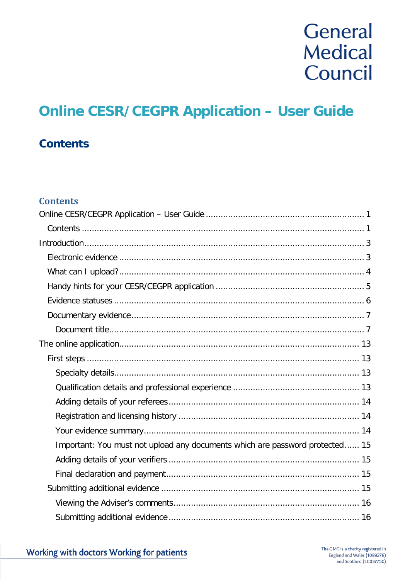# General **Medical** Council

## <span id="page-0-0"></span>**Online CESR/CEGPR Application - User Guide**

### <span id="page-0-1"></span>**Contents**

#### **Contents**

| Important: You must not upload any documents which are password protected 15 |
|------------------------------------------------------------------------------|
|                                                                              |
|                                                                              |
|                                                                              |
|                                                                              |
|                                                                              |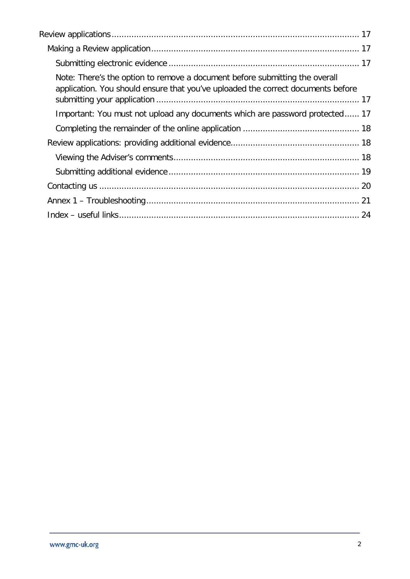| Note: There's the option to remove a document before submitting the overall<br>application. You should ensure that you've uploaded the correct documents before |
|-----------------------------------------------------------------------------------------------------------------------------------------------------------------|
| Important: You must not upload any documents which are password protected 17                                                                                    |
|                                                                                                                                                                 |
|                                                                                                                                                                 |
|                                                                                                                                                                 |
|                                                                                                                                                                 |
|                                                                                                                                                                 |
|                                                                                                                                                                 |
|                                                                                                                                                                 |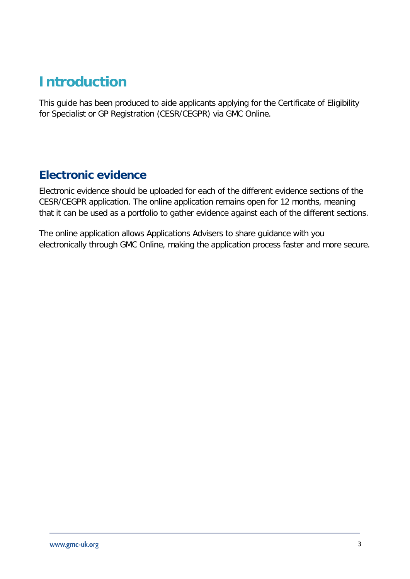## <span id="page-2-0"></span>**Introduction**

This guide has been produced to aide applicants applying for the Certificate of Eligibility for Specialist or GP Registration (CESR/CEGPR) via GMC Online.

### <span id="page-2-1"></span>**Electronic evidence**

Electronic evidence should be uploaded for each of the different evidence sections of the CESR/CEGPR application. The online application remains open for 12 months, meaning that it can be used as a portfolio to gather evidence against each of the different sections.

The online application allows Applications Advisers to share guidance with you electronically through GMC Online, making the application process faster and more secure.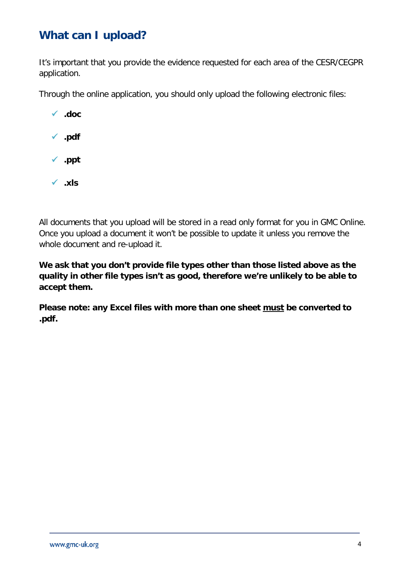### <span id="page-3-0"></span>**What can I upload?**

It's important that you provide the evidence requested for each area of the CESR/CEGPR application.

Through the online application, you should only upload the following electronic files:



All documents that you upload will be stored in a read only format for you in GMC Online. Once you upload a document it won't be possible to update it unless you remove the whole document and re-upload it.

**We ask that you don't provide file types other than those listed above as the quality in other file types isn't as good, therefore we're unlikely to be able to accept them.**

**Please note: any Excel files with more than one sheet must be converted to .pdf.**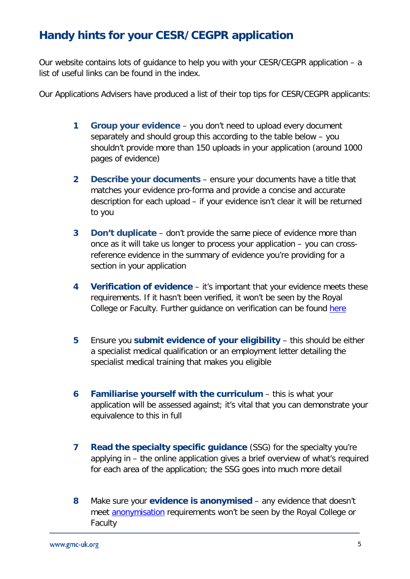### <span id="page-4-0"></span>**Handy hints for your CESR/CEGPR application**

Our website contains lots of guidance to help you with your CESR/CEGPR application – a list of useful links can be found in the index.

Our Applications Advisers have produced a list of their top tips for CESR/CEGPR applicants:

- **1 Group your evidence** you don't need to upload every document separately and should group this according to the table below – you shouldn't provide more than 150 uploads in your application (around 1000 pages of evidence)
- **2 Describe your documents** ensure your documents have a title that matches your evidence pro-forma and provide a concise and accurate description for each upload – if your evidence isn't clear it will be returned to you
- **3 Don't duplicate** don't provide the same piece of evidence more than once as it will take us longer to process your application – you can crossreference evidence in the summary of evidence you're providing for a section in your application
- **4 Verification of evidence** it's important that your evidence meets these requirements. If it hasn't been verified, it won't be seen by the Royal College or Faculty. Further guidance on verification can be found [here](https://www.gmc-uk.org/registration-and-licensing/join-the-register/registration-applications/cesr-cegpr-application-process/verification)
- **5** Ensure you **submit evidence of your eligibility** this should be either a specialist medical qualification or an employment letter detailing the specialist medical training that makes you eligible
- **6 Familiarise yourself with the curriculum** this is what your application will be assessed against; it's vital that you can demonstrate your equivalence to this in full
- **7 Read the specialty specific guidance** (SSG) for the specialty you're applying in – the online application gives a brief overview of what's required for each area of the application; the SSG goes into much more detail
- **8** Make sure your **evidence is anonymised** any evidence that doesn't meet [anonymisation](https://www.gmc-uk.org/registration-and-licensing/join-the-register/registration-applications/specialist-application-guides/specialist-registration-cesr-or-cegpr/how-do-i-anonymise-my-evidence) requirements won't be seen by the Royal College or Faculty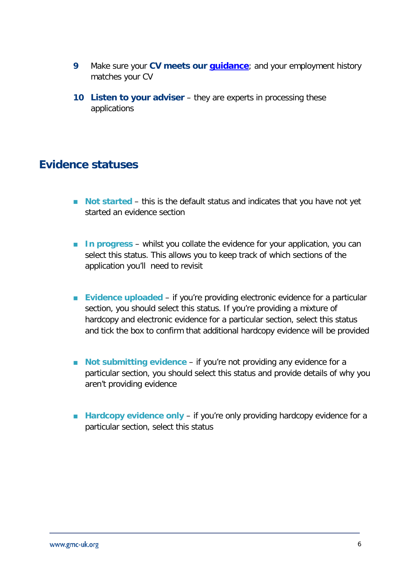- **9** Make sure your **CV meets our [guidance](https://www.gmc-uk.org/registration-and-licensing/join-the-register/registration-applications/structuring-your-cv-for-a-specialist-or-gp-registration-application)**; and your employment history matches your CV
- **10 Listen to your adviser** they are experts in processing these applications

### <span id="page-5-0"></span>**Evidence statuses**

- **Not started** this is the default status and indicates that you have not yet started an evidence section
- **In progress** whilst you collate the evidence for your application, you can select this status. This allows you to keep track of which sections of the application you'll need to revisit
- **Evidence uploaded** if you're providing electronic evidence for a particular section, you should select this status. If you're providing a mixture of hardcopy and electronic evidence for a particular section, select this status and tick the box to confirm that additional hardcopy evidence will be provided
- **Not submitting evidence** if you're not providing any evidence for a particular section, you should select this status and provide details of why you aren't providing evidence
- **Hardcopy evidence only** if you're only providing hardcopy evidence for a particular section, select this status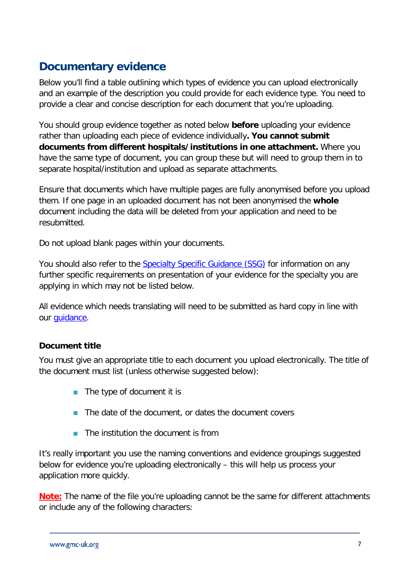### <span id="page-6-0"></span>**Documentary evidence**

Below you'll find a table outlining which types of evidence you can upload electronically and an example of the description you could provide for each evidence type. You need to provide a clear and concise description for each document that you're uploading.

You should group evidence together as noted below **before** uploading your evidence rather than uploading each piece of evidence individually**. You cannot submit documents from different hospitals/institutions in one attachment.** Where you have the same type of document, you can group these but will need to group them in to separate hospital/institution and upload as separate attachments.

Ensure that documents which have multiple pages are fully anonymised before you upload them. If one page in an uploaded document has not been anonymised the **whole** document including the data will be deleted from your application and need to be resubmitted.

Do not upload blank pages within your documents.

You should also refer to the [Specialty Specific Guidance \(SSG\)](https://www.gmc-uk.org/registration-and-licensing/join-the-register/registration-applications/specialty-specific-guidance-for-cesr-and-cegpr) for information on any further specific requirements on presentation of your evidence for the specialty you are applying in which may not be listed below.

All evidence which needs translating will need to be submitted as hard copy in line with our quidance.

#### <span id="page-6-1"></span>**Document title**

You must give an appropriate title to each document you upload electronically. The title of the document must list (unless otherwise suggested below):

- $\blacksquare$  The type of document it is
- $\blacksquare$  The date of the document, or dates the document covers
- $\blacksquare$  The institution the document is from

It's really important you use the naming conventions and evidence groupings suggested below for evidence you're uploading electronically – this will help us process your application more quickly.

**Note:** The name of the file you're uploading cannot be the same for different attachments or include any of the following characters: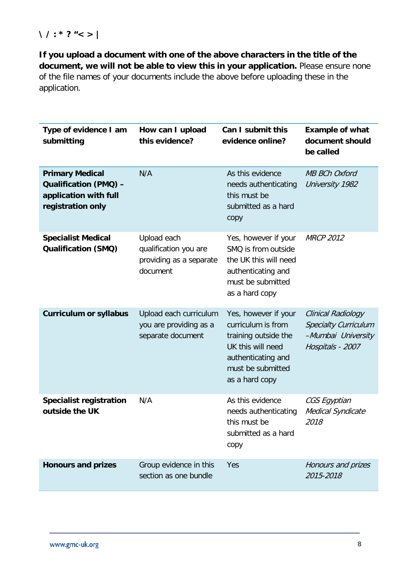#### **\ / : \* ? "< > |**

**If you upload a document with one of the above characters in the title of the document, we will not be able to view this in your application.** Please ensure none of the file names of your documents include the above before uploading these in the application.

| Type of evidence I am<br>submitting                                                                  | How can I upload<br>this evidence?                                          | Can I submit this<br>evidence online?                                                                                                                | <b>Example of what</b><br>document should<br>be called                                      |
|------------------------------------------------------------------------------------------------------|-----------------------------------------------------------------------------|------------------------------------------------------------------------------------------------------------------------------------------------------|---------------------------------------------------------------------------------------------|
| <b>Primary Medical</b><br><b>Qualification (PMQ) -</b><br>application with full<br>registration only | N/A                                                                         | As this evidence<br>needs authenticating<br>this must be<br>submitted as a hard<br>copy                                                              | <b>MB BCh Oxford</b><br>University 1982                                                     |
| <b>Specialist Medical</b><br><b>Qualification (SMQ)</b>                                              | Upload each<br>qualification you are<br>providing as a separate<br>document | Yes, however if your<br>SMQ is from outside<br>the UK this will need<br>authenticating and<br>must be submitted<br>as a hard copy                    | <b>MRCP 2012</b>                                                                            |
| <b>Curriculum or syllabus</b>                                                                        | Upload each curriculum<br>you are providing as a<br>separate document       | Yes, however if your<br>curriculum is from<br>training outside the<br>UK this will need<br>authenticating and<br>must be submitted<br>as a hard copy | Clinical Radiology<br><b>Specialty Curriculum</b><br>-Mumbai University<br>Hospitals - 2007 |
| <b>Specialist registration</b><br>outside the UK                                                     | N/A                                                                         | As this evidence<br>needs authenticating<br>this must be<br>submitted as a hard<br>copy                                                              | CGS Egyptian<br>Medical Syndicate<br>2018                                                   |
| <b>Honours and prizes</b>                                                                            | Group evidence in this<br>section as one bundle                             | Yes                                                                                                                                                  | Honours and prizes<br>2015-2018                                                             |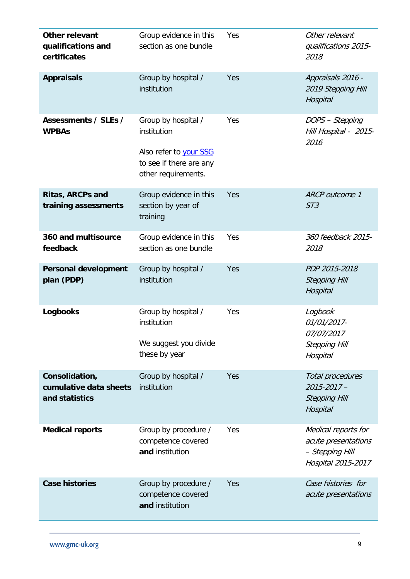| Other relevant<br>qualifications and<br>certificates       | Group evidence in this<br>section as one bundle                                                                | Yes | Other relevant<br>qualifications 2015-<br>2018                                      |
|------------------------------------------------------------|----------------------------------------------------------------------------------------------------------------|-----|-------------------------------------------------------------------------------------|
| <b>Appraisals</b>                                          | Group by hospital /<br>institution                                                                             | Yes | Appraisals 2016 -<br>2019 Stepping Hill<br>Hospital                                 |
| Assessments / SLEs /<br><b>WPBAs</b>                       | Group by hospital /<br>institution<br>Also refer to your SSG<br>to see if there are any<br>other requirements. | Yes | DOPS - Stepping<br>Hill Hospital - 2015-<br>2016                                    |
| <b>Ritas, ARCPs and</b><br>training assessments            | Group evidence in this<br>section by year of<br>training                                                       | Yes | ARCP outcome 1<br>ST3                                                               |
| 360 and multisource<br>feedback                            | Group evidence in this<br>section as one bundle                                                                | Yes | 360 feedback 2015-<br>2018                                                          |
| <b>Personal development</b><br>plan (PDP)                  | Group by hospital /<br>institution                                                                             | Yes | PDP 2015-2018<br><b>Stepping Hill</b><br>Hospital                                   |
| <b>Logbooks</b>                                            | Group by hospital /<br>institution<br>We suggest you divide<br>these by year                                   | Yes | Logbook<br>01/01/2017-<br>07/07/2017<br><b>Stepping Hill</b><br>Hospital            |
| Consolidation,<br>cumulative data sheets<br>and statistics | Group by hospital /<br>institution                                                                             | Yes | Total procedures<br>$2015 - 2017 -$<br><b>Stepping Hill</b><br>Hospital             |
| <b>Medical reports</b>                                     | Group by procedure /<br>competence covered<br>and institution                                                  | Yes | Medical reports for<br>acute presentations<br>- Stepping Hill<br>Hospital 2015-2017 |
| <b>Case histories</b>                                      | Group by procedure /<br>competence covered<br>and institution                                                  | Yes | Case histories for<br>acute presentations                                           |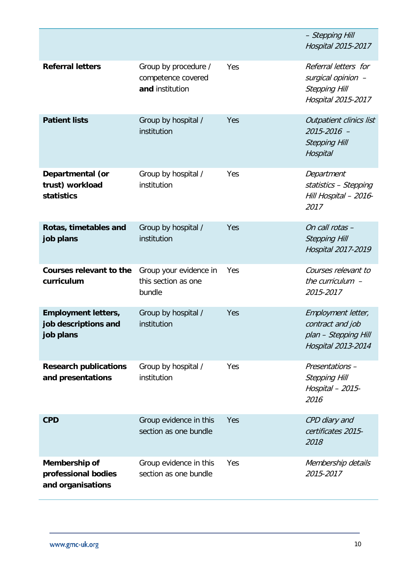|                                                                 |                                                               |     | - Stepping Hill<br>Hospital 2015-2017                                                    |
|-----------------------------------------------------------------|---------------------------------------------------------------|-----|------------------------------------------------------------------------------------------|
| <b>Referral letters</b>                                         | Group by procedure /<br>competence covered<br>and institution | Yes | Referral letters for<br>surgical opinion -<br><b>Stepping Hill</b><br>Hospital 2015-2017 |
| <b>Patient lists</b>                                            | Group by hospital /<br>institution                            | Yes | Outpatient clinics list<br>2015-2016 -<br><b>Stepping Hill</b><br>Hospital               |
| Departmental (or<br>trust) workload<br><b>statistics</b>        | Group by hospital /<br>institution                            | Yes | Department<br>statistics - Stepping<br>Hill Hospital - 2016-<br>2017                     |
| Rotas, timetables and<br>job plans                              | Group by hospital /<br>institution                            | Yes | On call rotas -<br><b>Stepping Hill</b><br>Hospital 2017-2019                            |
| <b>Courses relevant to the</b><br>curriculum                    | Group your evidence in<br>this section as one<br>bundle       | Yes | Courses relevant to<br>the curriculum $-$<br>2015-2017                                   |
| <b>Employment letters,</b><br>job descriptions and<br>job plans | Group by hospital /<br>institution                            | Yes | Employment letter,<br>contract and job<br>plan - Stepping Hill<br>Hospital 2013-2014     |
| <b>Research publications</b><br>and presentations               | Group by hospital /<br>institution                            | Yes | Presentations -<br><b>Stepping Hill</b><br>Hospital - 2015-<br>2016                      |
| <b>CPD</b>                                                      | Group evidence in this<br>section as one bundle               | Yes | CPD diary and<br>certificates 2015-<br>2018                                              |
| Membership of<br>professional bodies<br>and organisations       | Group evidence in this<br>section as one bundle               | Yes | Membership details<br>2015-2017                                                          |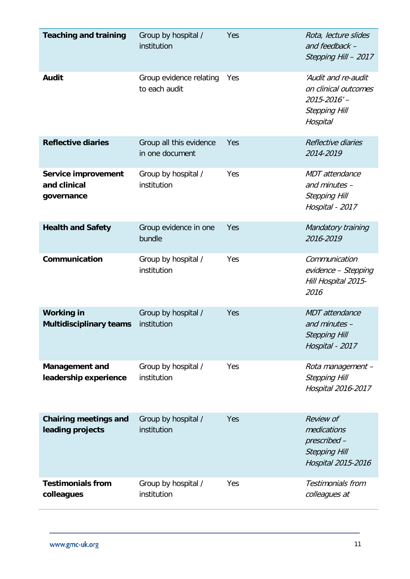| <b>Teaching and training</b>                             | Group by hospital /<br>institution         | Yes | Rota, lecture slides<br>and feedback -<br>Stepping Hill - 2017                                 |
|----------------------------------------------------------|--------------------------------------------|-----|------------------------------------------------------------------------------------------------|
| <b>Audit</b>                                             | Group evidence relating<br>to each audit   | Yes | 'Audit and re-audit<br>on clinical outcomes<br>2015-2016'-<br><b>Stepping Hill</b><br>Hospital |
| <b>Reflective diaries</b>                                | Group all this evidence<br>in one document | Yes | Reflective diaries<br>2014-2019                                                                |
| <b>Service improvement</b><br>and clinical<br>governance | Group by hospital /<br>institution         | Yes | MDT attendance<br>and minutes -<br><b>Stepping Hill</b><br>Hospital - 2017                     |
| <b>Health and Safety</b>                                 | Group evidence in one<br>bundle            | Yes | Mandatory training<br>2016-2019                                                                |
| Communication                                            | Group by hospital /<br>institution         | Yes | Communication<br>evidence - Stepping<br>Hill Hospital 2015-<br>2016                            |
| <b>Working in</b><br><b>Multidisciplinary teams</b>      | Group by hospital /<br>institution         | Yes | <b>MDT</b> attendance<br>and minutes -<br><b>Stepping Hill</b><br>Hospital - 2017              |
| <b>Management and</b><br>leadership experience           | Group by hospital /<br>institution         | Yes | Rota management -<br><b>Stepping Hill</b><br>Hospital 2016-2017                                |
| <b>Chairing meetings and</b><br>leading projects         | Group by hospital /<br>institution         | Yes | Review of<br>medications<br>prescribed -<br><b>Stepping Hill</b><br>Hospital 2015-2016         |
| <b>Testimonials from</b><br>colleagues                   | Group by hospital /<br>institution         | Yes | Testimonials from<br>colleagues at                                                             |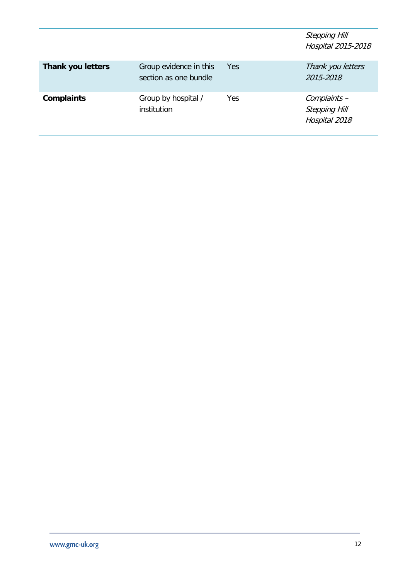|                          |                                                 |     | <b>Stepping Hill</b><br>Hospital 2015-2018            |
|--------------------------|-------------------------------------------------|-----|-------------------------------------------------------|
| <b>Thank you letters</b> | Group evidence in this<br>section as one bundle | Yes | Thank you letters<br>2015-2018                        |
| <b>Complaints</b>        | Group by hospital /<br>institution              | Yes | Complaints -<br><b>Stepping Hill</b><br>Hospital 2018 |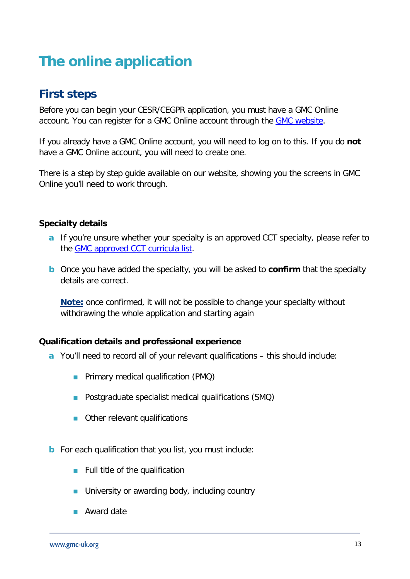## <span id="page-12-0"></span>**The online application**

### <span id="page-12-1"></span>**First steps**

Before you can begin your CESR/CEGPR application, you must have a GMC Online account. You can register for a GMC Online account through the **GMC website**.

If you already have a GMC Online account, you will need to log on to this. If you do **not** have a GMC Online account, you will need to create one.

There is a step by step guide available on our website, showing you the screens in GMC Online you'll need to work through.

#### <span id="page-12-2"></span>**Specialty details**

- **a** If you're unsure whether your specialty is an approved CCT specialty, please refer to the [GMC approved CCT curricula list.](https://www.gmc-uk.org/education/standards-guidance-and-curricula/curricula)
- **b** Once you have added the specialty, you will be asked to **confirm** that the specialty details are correct.

**Note:** once confirmed, it will not be possible to change your specialty without withdrawing the whole application and starting again

#### <span id="page-12-3"></span>**Qualification details and professional experience**

- **a** You'll need to record all of your relevant qualifications this should include:
	- **Primary medical qualification (PMQ)**
	- **Postgraduate specialist medical qualifications (SMQ)**
	- **Combined Control** Chern relevant qualifications
- **b** For each qualification that you list, you must include:
	- $\blacksquare$  Full title of the qualification
	- **University or awarding body, including country**
	- **Award date**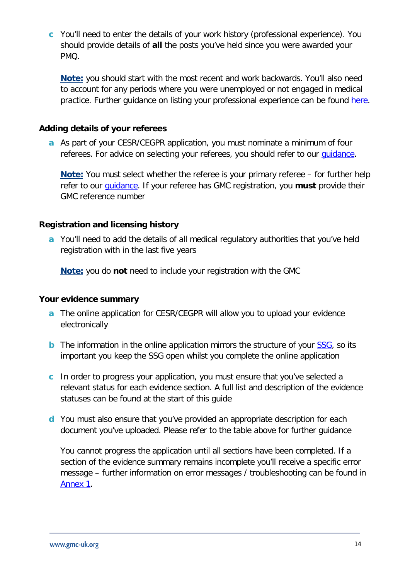**c** You'll need to enter the details of your work history (professional experience). You should provide details of **all** the posts you've held since you were awarded your PMQ.

**Note:** you should start with the most recent and work backwards. You'll also need to account for any periods where you were unemployed or not engaged in medical practice. Further guidance on listing your professional experience can be found [here.](https://www.gmc-uk.org/registration-and-licensing/join-the-register/registration-applications/specialist-application-guides/specialist-registration-cesr-or-cegpr/how-do-i-list-my-evidence)

#### <span id="page-13-0"></span>**Adding details of your referees**

**a** As part of your CESR/CEGPR application, you must nominate a minimum of four referees. For advice on selecting your referees, you should refer to our quidance.

**Note:** You must select whether the referee is your primary referee – for further help refer to our [guidance.](https://www.gmc-uk.org/registration-and-licensing/join-the-register/registration-applications/guidance-on-choosing-referees) If your referee has GMC registration, you **must** provide their GMC reference number

#### <span id="page-13-1"></span>**Registration and licensing history**

**a** You'll need to add the details of all medical regulatory authorities that you've held registration with in the last five years

**Note:** you do **not** need to include your registration with the GMC

#### <span id="page-13-2"></span>**Your evidence summary**

- **a** The online application for CESR/CEGPR will allow you to upload your evidence electronically
- **b** The information in the online application mirrors the structure of your [SSG,](https://www.gmc-uk.org/registration-and-licensing/join-the-register/registration-applications/specialty-specific-guidance-for-cesr-and-cegpr) so its important you keep the SSG open whilst you complete the online application
- **c** In order to progress your application, you must ensure that you've selected a relevant status for each evidence section. A full list and description of the evidence statuses can be found at the start of this guide
- **d** You must also ensure that you've provided an appropriate description for each document you've uploaded. Please refer to the table above for further guidance

You cannot progress the application until all sections have been completed. If a section of the evidence summary remains incomplete you'll receive a specific error message – further information on error messages / troubleshooting can be found in [Annex 1.](#page-20-0)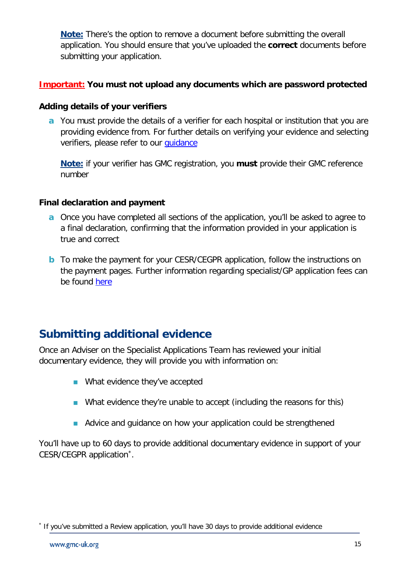**Note:** There's the option to remove a document before submitting the overall application. You should ensure that you've uploaded the **correct** documents before submitting your application.

#### <span id="page-14-0"></span>**Important: You must not upload any documents which are password protected**

#### <span id="page-14-1"></span>**Adding details of your verifiers**

**a** You must provide the details of a verifier for each hospital or institution that you are providing evidence from. For further details on verifying your evidence and selecting verifiers, please refer to our [guidance](https://www.gmc-uk.org/registration-and-licensing/join-the-register/registration-applications/cesr-cegpr-application-process/verification)

**Note:** if your verifier has GMC registration, you **must** provide their GMC reference number

#### <span id="page-14-2"></span>**Final declaration and payment**

- **a** Once you have completed all sections of the application, you'll be asked to agree to a final declaration, confirming that the information provided in your application is true and correct
- **b** To make the payment for your CESR/CEGPR application, follow the instructions on the payment pages. Further information regarding specialist/GP application fees can be found [here](https://www.gmc-uk.org/registration-and-licensing/managing-your-registration/fees-and-funding)

### <span id="page-14-3"></span>**Submitting additional evidence**

Once an Adviser on the Specialist Applications Team has reviewed your initial documentary evidence, they will provide you with information on:

- **Number** What evidence they've accepted
- What evidence they're unable to accept (including the reasons for this)
- Advice and guidance on how your application could be strengthened

You'll have up to 60 days to provide additional documentary evidence in support of your CESR/CEGPR application[\\*.](#page-14-4)

<span id="page-14-4"></span>If you've submitted a Review application, you'll have 30 days to provide additional evidence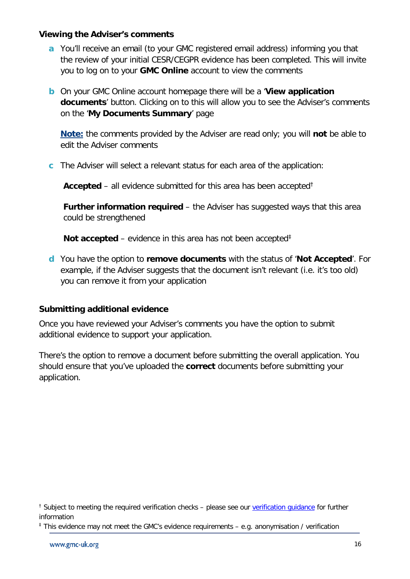#### <span id="page-15-0"></span>**Viewing the Adviser's comments**

- **a** You'll receive an email (to your GMC registered email address) informing you that the review of your initial CESR/CEGPR evidence has been completed. This will invite you to log on to your **GMC Online** account to view the comments
- **b** On your GMC Online account homepage there will be a '**View application documents**' button. Clicking on to this will allow you to see the Adviser's comments on the '**My Documents Summary**' page

**Note:** the comments provided by the Adviser are read only; you will **not** be able to edit the Adviser comments

**c** The Adviser will select a relevant status for each area of the application:

**Accepted** – all evidence submitted for this area has been accepted[†](#page-15-2)

**Further information required** – the Adviser has suggested ways that this area could be strengthened

**Not accepted** – evidence in this area has not been accepted<sup>[‡](#page-15-3)</sup>

**d** You have the option to **remove documents** with the status of '**Not Accepted**'. For example, if the Adviser suggests that the document isn't relevant (i.e. it's too old) you can remove it from your application

#### <span id="page-15-1"></span>**Submitting additional evidence**

Once you have reviewed your Adviser's comments you have the option to submit additional evidence to support your application.

There's the option to remove a document before submitting the overall application. You should ensure that you've uploaded the **correct** documents before submitting your application.

<span id="page-15-2"></span><sup>&</sup>lt;sup>†</sup> Subject to meeting the required verification checks – please see our verification quidance for further information

<span id="page-15-3"></span><sup>‡</sup> This evidence may not meet the GMC's evidence requirements – e.g. anonymisation / verification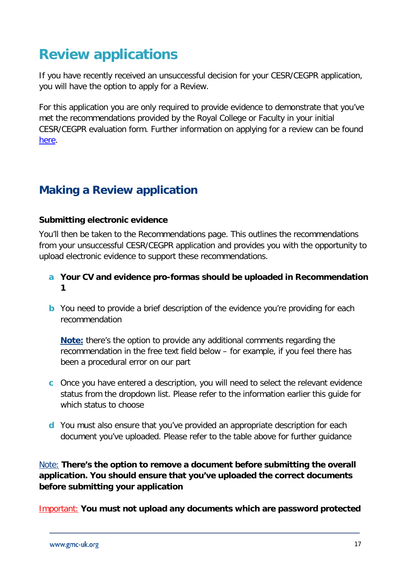## <span id="page-16-0"></span>**Review applications**

If you have recently received an unsuccessful decision for your CESR/CEGPR application, you will have the option to apply for a Review.

For this application you are only required to provide evidence to demonstrate that you've met the recommendations provided by the Royal College or Faculty in your initial CESR/CEGPR evaluation form. Further information on applying for a review can be found [here.](https://www.gmc-uk.org/registration-and-licensing/join-the-register/registration-applications/specialist-application-guides/review)

### <span id="page-16-1"></span>**Making a Review application**

#### <span id="page-16-2"></span>**Submitting electronic evidence**

You'll then be taken to the Recommendations page. This outlines the recommendations from your unsuccessful CESR/CEGPR application and provides you with the opportunity to upload electronic evidence to support these recommendations.

- **a Your CV and evidence pro-formas should be uploaded in Recommendation 1**
- **b** You need to provide a brief description of the evidence you're providing for each recommendation

**Note:** there's the option to provide any additional comments regarding the recommendation in the free text field below – for example, if you feel there has been a procedural error on our part

- **c** Once you have entered a description, you will need to select the relevant evidence status from the dropdown list. Please refer to the information earlier this guide for which status to choose
- **d** You must also ensure that you've provided an appropriate description for each document you've uploaded. Please refer to the table above for further guidance

<span id="page-16-3"></span>Note: **There's the option to remove a document before submitting the overall application. You should ensure that you've uploaded the correct documents before submitting your application**

<span id="page-16-4"></span>Important: **You must not upload any documents which are password protected**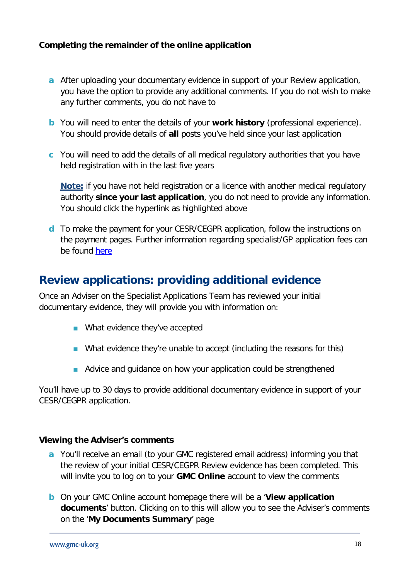#### <span id="page-17-0"></span>**Completing the remainder of the online application**

- **a** After uploading your documentary evidence in support of your Review application, you have the option to provide any additional comments. If you do not wish to make any further comments, you do not have to
- **b** You will need to enter the details of your **work history** (professional experience). You should provide details of **all** posts you've held since your last application
- **c** You will need to add the details of all medical regulatory authorities that you have held registration with in the last five years

**Note:** if you have not held registration or a licence with another medical regulatory authority **since your last application**, you do not need to provide any information. You should click the hyperlink as highlighted above

**d** To make the payment for your CESR/CEGPR application, follow the instructions on the payment pages. Further information regarding specialist/GP application fees can be found [here](https://www.gmc-uk.org/registration-and-licensing/managing-your-registration/fees-and-funding)

### <span id="page-17-1"></span>**Review applications: providing additional evidence**

Once an Adviser on the Specialist Applications Team has reviewed your initial documentary evidence, they will provide you with information on:

- **Number** What evidence they've accepted
- What evidence they're unable to accept (including the reasons for this)
- Advice and guidance on how your application could be strengthened

You'll have up to 30 days to provide additional documentary evidence in support of your CESR/CEGPR application.

#### <span id="page-17-2"></span>**Viewing the Adviser's comments**

- **a** You'll receive an email (to your GMC registered email address) informing you that the review of your initial CESR/CEGPR Review evidence has been completed. This will invite you to log on to your **GMC Online** account to view the comments
- **b** On your GMC Online account homepage there will be a '**View application documents**' button. Clicking on to this will allow you to see the Adviser's comments on the '**My Documents Summary**' page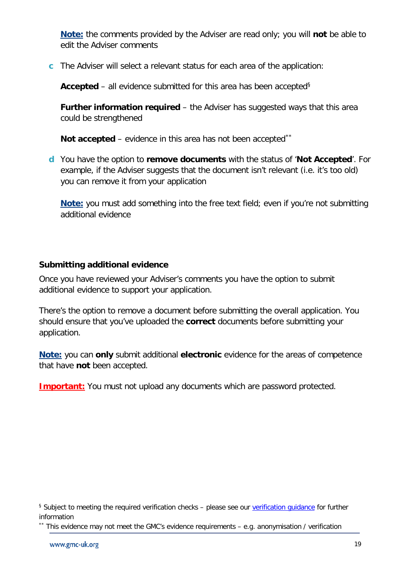**Note:** the comments provided by the Adviser are read only; you will **not** be able to edit the Adviser comments

**c** The Adviser will select a relevant status for each area of the application:

**Accepted** – all evidence submitted for this area has been accepted<sup>[§](#page-18-1)</sup>

**Further information required** – the Adviser has suggested ways that this area could be strengthened

**Not accepted** – evidence in this area has not been accepted[\\*\\*](#page-18-2)

**d** You have the option to **remove documents** with the status of '**Not Accepted**'. For example, if the Adviser suggests that the document isn't relevant (i.e. it's too old) you can remove it from your application

**Note:** you must add something into the free text field; even if you're not submitting additional evidence

#### <span id="page-18-0"></span>**Submitting additional evidence**

Once you have reviewed your Adviser's comments you have the option to submit additional evidence to support your application.

There's the option to remove a document before submitting the overall application. You should ensure that you've uploaded the **correct** documents before submitting your application.

**Note:** you can **only** submit additional **electronic** evidence for the areas of competence that have **not** been accepted.

**Important:** You must not upload any documents which are password protected.

<span id="page-18-2"></span>\*\* This evidence may not meet the GMC's evidence requirements – e.g. anonymisation / verification

<span id="page-18-1"></span><sup>§</sup> Subject to meeting the required verification checks – please see our verification quidance for further information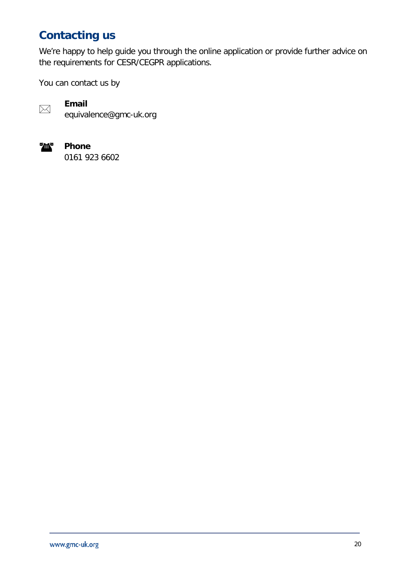### <span id="page-19-0"></span>**Contacting us**

We're happy to help guide you through the online application or provide further advice on the requirements for CESR/CEGPR applications.

You can contact us by



**Email** equivalence@gmc-uk.org



**Phone** 0161 923 6602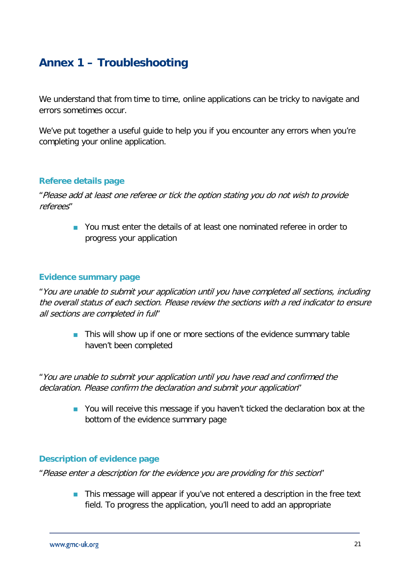### <span id="page-20-0"></span>**Annex 1 – Troubleshooting**

We understand that from time to time, online applications can be tricky to navigate and errors sometimes occur.

We've put together a useful guide to help you if you encounter any errors when you're completing your online application.

#### **Referee details page**

"Please add at least one referee or tick the option stating you do not wish to provide referees"

> **Nou must enter the details of at least one nominated referee in order to** progress your application

#### **Evidence summary page**

"You are unable to submit your application until you have completed all sections, including the overall status of each section. Please review the sections with a red indicator to ensure all sections are completed in full"

**This will show up if one or more sections of the evidence summary table** haven't been completed

"You are unable to submit your application until you have read and confirmed the declaration. Please confirm the declaration and submit your application"

> **Nou** will receive this message if you haven't ticked the declaration box at the bottom of the evidence summary page

#### **Description of evidence page**

"Please enter a description for the evidence you are providing for this section"

**This message will appear if you've not entered a description in the free text** field. To progress the application, you'll need to add an appropriate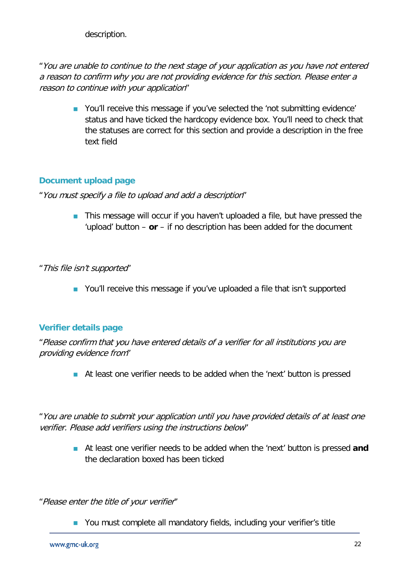description.

"You are unable to continue to the next stage of your application as you have not entered a reason to confirm why you are not providing evidence for this section. Please enter a reason to continue with your application"

**•** You'll receive this message if you've selected the 'not submitting evidence' status and have ticked the hardcopy evidence box. You'll need to check that the statuses are correct for this section and provide a description in the free text field

#### **Document upload page**

"You must specify a file to upload and add a description"

**This message will occur if you haven't uploaded a file, but have pressed the** 'upload' button – **or** – if no description has been added for the document

"This file isn't supported"

**Nou'll receive this message if you've uploaded a file that isn't supported** 

#### **Verifier details page**

"Please confirm that you have entered details of a verifier for all institutions you are providing evidence from"

At least one verifier needs to be added when the 'next' button is pressed

"You are unable to submit your application until you have provided details of at least one verifier. Please add verifiers using the instructions below"

> At least one verifier needs to be added when the 'next' button is pressed **and** the declaration boxed has been ticked

"Please enter the title of your verifier"

**Nou must complete all mandatory fields, including your verifier's title**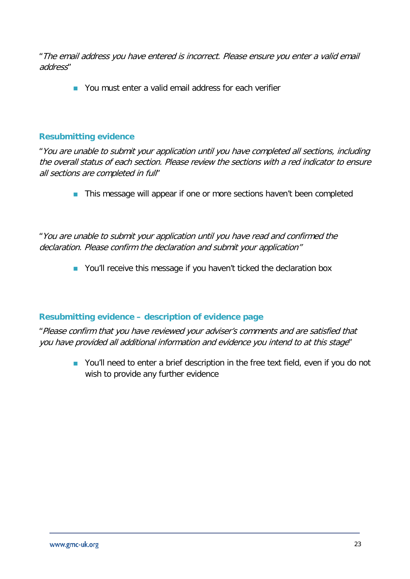"The email address you have entered is incorrect. Please ensure you enter a valid email address"

**Nou must enter a valid email address for each verifier** 

#### **Resubmitting evidence**

"You are unable to submit your application until you have completed all sections, including the overall status of each section. Please review the sections with a red indicator to ensure all sections are completed in full"

**This message will appear if one or more sections haven't been completed** 

"You are unable to submit your application until you have read and confirmed the declaration. Please confirm the declaration and submit your application"

**Nou'll receive this message if you haven't ticked the declaration box** 

#### **Resubmitting evidence – description of evidence page**

"Please confirm that you have reviewed your adviser's comments and are satisfied that you have provided all additional information and evidence you intend to at this stage"

> ■ You'll need to enter a brief description in the free text field, even if you do not wish to provide any further evidence